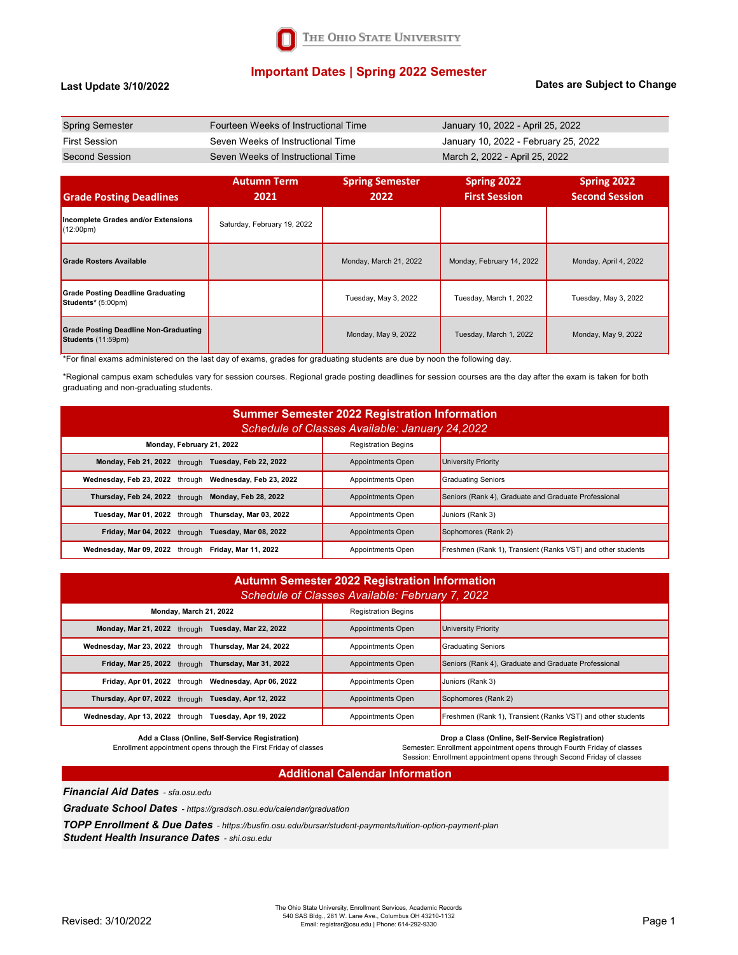

## **Important Dates | Spring 2022 Semester**

#### **Last Update 3/10/2022**

#### **Dates are Subject to Change**

| <b>Spring Semester</b> | Fourteen Weeks of Instructional Time | January 10, 2022 - April 25, 2022    |
|------------------------|--------------------------------------|--------------------------------------|
| <b>First Session</b>   | Seven Weeks of Instructional Time    | January 10, 2022 - February 25, 2022 |
| Second Session         | Seven Weeks of Instructional Time    | March 2, 2022 - April 25, 2022       |

| <b>Grade Posting Deadlines</b>                                     | <b>Autumn Term</b><br>2021  | <b>Spring Semester</b><br>2022 | Spring 2022<br><b>First Session</b> | Spring 2022<br><b>Second Session</b> |
|--------------------------------------------------------------------|-----------------------------|--------------------------------|-------------------------------------|--------------------------------------|
| Incomplete Grades and/or Extensions<br>$(12:00 \text{pm})$         | Saturday, February 19, 2022 |                                |                                     |                                      |
| <b>Grade Rosters Available</b>                                     |                             | Monday, March 21, 2022         | Monday, February 14, 2022           | Monday, April 4, 2022                |
| Grade Posting Deadline Graduating<br>Students* (5:00pm)            |                             | Tuesday, May 3, 2022           | Tuesday, March 1, 2022              | Tuesday, May 3, 2022                 |
| <b>Grade Posting Deadline Non-Graduating</b><br>Students (11:59pm) |                             | Monday, May 9, 2022            | Tuesday, March 1, 2022              | Monday, May 9, 2022                  |

\*For final exams administered on the last day of exams, grades for graduating students are due by noon the following day.

\*Regional campus exam schedules vary for session courses. Regional grade posting deadlines for session courses are the day after the exam is taken for both graduating and non-graduating students.

| <b>Summer Semester 2022 Registration Information</b><br>Schedule of Classes Available: January 24, 2022 |                            |                                                             |  |  |
|---------------------------------------------------------------------------------------------------------|----------------------------|-------------------------------------------------------------|--|--|
| Monday, February 21, 2022                                                                               | <b>Registration Begins</b> |                                                             |  |  |
| Monday, Feb 21, 2022 through Tuesday, Feb 22, 2022                                                      | Appointments Open          | University Priority                                         |  |  |
| Wednesday, Feb 23, 2022 through Wednesday, Feb 23, 2022                                                 | Appointments Open          | <b>Graduating Seniors</b>                                   |  |  |
| Thursday, Feb 24, 2022 through Monday, Feb 28, 2022                                                     | Appointments Open          | Seniors (Rank 4), Graduate and Graduate Professional        |  |  |
| Tuesday, Mar 01, 2022 through Thursday, Mar 03, 2022                                                    | Appointments Open          | Juniors (Rank 3)                                            |  |  |
| Friday, Mar 04, 2022 through Tuesday, Mar 08, 2022                                                      | Appointments Open          | Sophomores (Rank 2)                                         |  |  |
| Wednesday, Mar 09, 2022 through Friday, Mar 11, 2022                                                    | Appointments Open          | Freshmen (Rank 1), Transient (Ranks VST) and other students |  |  |

| <b>Autumn Semester 2022 Registration Information</b><br>Schedule of Classes Available: February 7, 2022 |                            |                                                             |  |
|---------------------------------------------------------------------------------------------------------|----------------------------|-------------------------------------------------------------|--|
| Monday, March 21, 2022                                                                                  | <b>Registration Begins</b> |                                                             |  |
| Monday, Mar 21, 2022 through Tuesday, Mar 22, 2022                                                      | <b>Appointments Open</b>   | <b>University Priority</b>                                  |  |
| Wednesday, Mar 23, 2022 through Thursday, Mar 24, 2022                                                  | Appointments Open          | <b>Graduating Seniors</b>                                   |  |
| Friday, Mar 25, 2022 through Thursday, Mar 31, 2022                                                     | <b>Appointments Open</b>   | Seniors (Rank 4), Graduate and Graduate Professional        |  |
| Friday, Apr 01, 2022 through Wednesday, Apr 06, 2022                                                    | Appointments Open          | Juniors (Rank 3)                                            |  |
| Thursday, Apr 07, 2022 through Tuesday, Apr 12, 2022                                                    | <b>Appointments Open</b>   | Sophomores (Rank 2)                                         |  |
| Wednesday, Apr 13, 2022 through Tuesday, Apr 19, 2022                                                   | Appointments Open          | Freshmen (Rank 1), Transient (Ranks VST) and other students |  |

**Add a Class (Online, Self-Service Registration)**  Enrollment appointment opens through the First Friday of classes **Drop a Class (Online, Self-Service Registration)** 

Semester: Enrollment appointment opens through Fourth Friday of classes

Session: Enrollment appointment opens through Second Friday of classes

#### **Additional Calendar Information**

*Financial Aid Dates - sfa.osu.edu*

*Graduate School Dates - https://gradsch.osu.edu/calendar/graduation*

*TOPP Enrollment & Due Dates - https://busfin.osu.edu/bursar/student-payments/tuition-option-payment-plan Student Health Insurance Dates - shi.osu.edu*